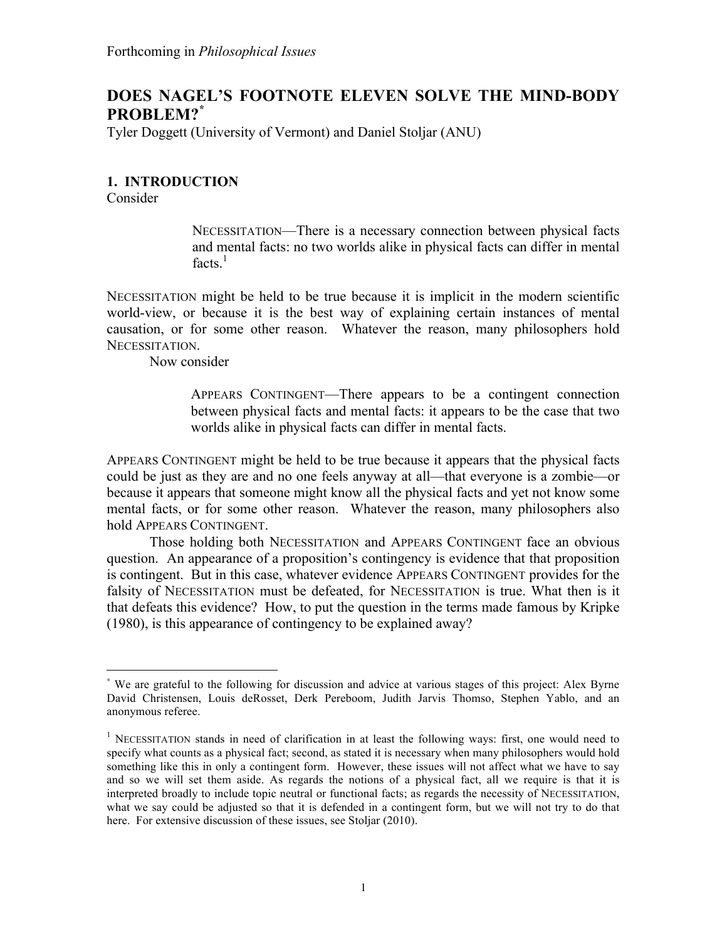# **DOES NAGEL'S FOOTNOTE ELEVEN SOLVE THE MIND-BODY PROBLEM?\***

Tyler Doggett (University of Vermont) and Daniel Stoljar (ANU)

## **1. INTRODUCTION**

Consider

NECESSITATION—There is a necessary connection between physical facts and mental facts: no two worlds alike in physical facts can differ in mental facts $1$ 

NECESSITATION might be held to be true because it is implicit in the modern scientific world-view, or because it is the best way of explaining certain instances of mental causation, or for some other reason. Whatever the reason, many philosophers hold NECESSITATION.

Now consider

APPEARS CONTINGENT—There appears to be a contingent connection between physical facts and mental facts: it appears to be the case that two worlds alike in physical facts can differ in mental facts.

APPEARS CONTINGENT might be held to be true because it appears that the physical facts could be just as they are and no one feels anyway at all—that everyone is a zombie—or because it appears that someone might know all the physical facts and yet not know some mental facts, or for some other reason. Whatever the reason, many philosophers also hold APPEARS CONTINGENT.

Those holding both NECESSITATION and APPEARS CONTINGENT face an obvious question. An appearance of a proposition's contingency is evidence that that proposition is contingent. But in this case, whatever evidence APPEARS CONTINGENT provides for the falsity of NECESSITATION must be defeated, for NECESSITATION is true. What then is it that defeats this evidence? How, to put the question in the terms made famous by Kripke (1980), is this appearance of contingency to be explained away?

 <sup>\*</sup> We are grateful to the following for discussion and advice at various stages of this project: Alex Byrne David Christensen, Louis deRosset, Derk Pereboom, Judith Jarvis Thomso, Stephen Yablo, and an anonymous referee.

<sup>&</sup>lt;sup>1</sup> NECESSITATION stands in need of clarification in at least the following ways: first, one would need to specify what counts as a physical fact; second, as stated it is necessary when many philosophers would hold something like this in only a contingent form. However, these issues will not affect what we have to say and so we will set them aside. As regards the notions of a physical fact, all we require is that it is interpreted broadly to include topic neutral or functional facts; as regards the necessity of NECESSITATION, what we say could be adjusted so that it is defended in a contingent form, but we will not try to do that here. For extensive discussion of these issues, see Stoliar (2010).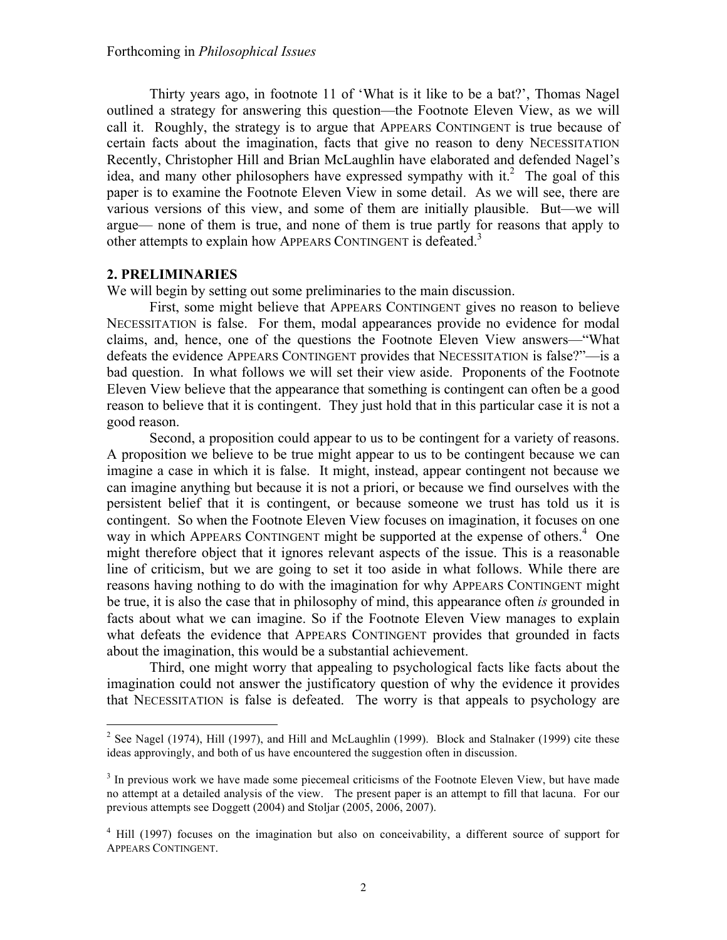Thirty years ago, in footnote 11 of 'What is it like to be a bat?', Thomas Nagel outlined a strategy for answering this question—the Footnote Eleven View, as we will call it. Roughly, the strategy is to argue that APPEARS CONTINGENT is true because of certain facts about the imagination, facts that give no reason to deny NECESSITATION Recently, Christopher Hill and Brian McLaughlin have elaborated and defended Nagel's idea, and many other philosophers have expressed sympathy with it.<sup>2</sup> The goal of this paper is to examine the Footnote Eleven View in some detail. As we will see, there are various versions of this view, and some of them are initially plausible. But—we will argue— none of them is true, and none of them is true partly for reasons that apply to other attempts to explain how APPEARS CONTINGENT is defeated.<sup>3</sup>

## **2. PRELIMINARIES**

We will begin by setting out some preliminaries to the main discussion.

First, some might believe that APPEARS CONTINGENT gives no reason to believe NECESSITATION is false. For them, modal appearances provide no evidence for modal claims, and, hence, one of the questions the Footnote Eleven View answers—"What defeats the evidence APPEARS CONTINGENT provides that NECESSITATION is false?"—is a bad question. In what follows we will set their view aside. Proponents of the Footnote Eleven View believe that the appearance that something is contingent can often be a good reason to believe that it is contingent. They just hold that in this particular case it is not a good reason.

Second, a proposition could appear to us to be contingent for a variety of reasons. A proposition we believe to be true might appear to us to be contingent because we can imagine a case in which it is false. It might, instead, appear contingent not because we can imagine anything but because it is not a priori, or because we find ourselves with the persistent belief that it is contingent, or because someone we trust has told us it is contingent. So when the Footnote Eleven View focuses on imagination, it focuses on one way in which APPEARS CONTINGENT might be supported at the expense of others.<sup>4</sup> One might therefore object that it ignores relevant aspects of the issue. This is a reasonable line of criticism, but we are going to set it too aside in what follows. While there are reasons having nothing to do with the imagination for why APPEARS CONTINGENT might be true, it is also the case that in philosophy of mind, this appearance often *is* grounded in facts about what we can imagine. So if the Footnote Eleven View manages to explain what defeats the evidence that APPEARS CONTINGENT provides that grounded in facts about the imagination, this would be a substantial achievement.

Third, one might worry that appealing to psychological facts like facts about the imagination could not answer the justificatory question of why the evidence it provides that NECESSITATION is false is defeated. The worry is that appeals to psychology are

 $\frac{1}{2}$ <sup>2</sup> See Nagel (1974), Hill (1997), and Hill and McLaughlin (1999). Block and Stalnaker (1999) cite these ideas approvingly, and both of us have encountered the suggestion often in discussion.

 $3$  In previous work we have made some piecemeal criticisms of the Footnote Eleven View, but have made no attempt at a detailed analysis of the view. The present paper is an attempt to fill that lacuna. For our previous attempts see Doggett (2004) and Stoljar (2005, 2006, 2007).

<sup>&</sup>lt;sup>4</sup> Hill (1997) focuses on the imagination but also on conceivability, a different source of support for APPEARS CONTINGENT.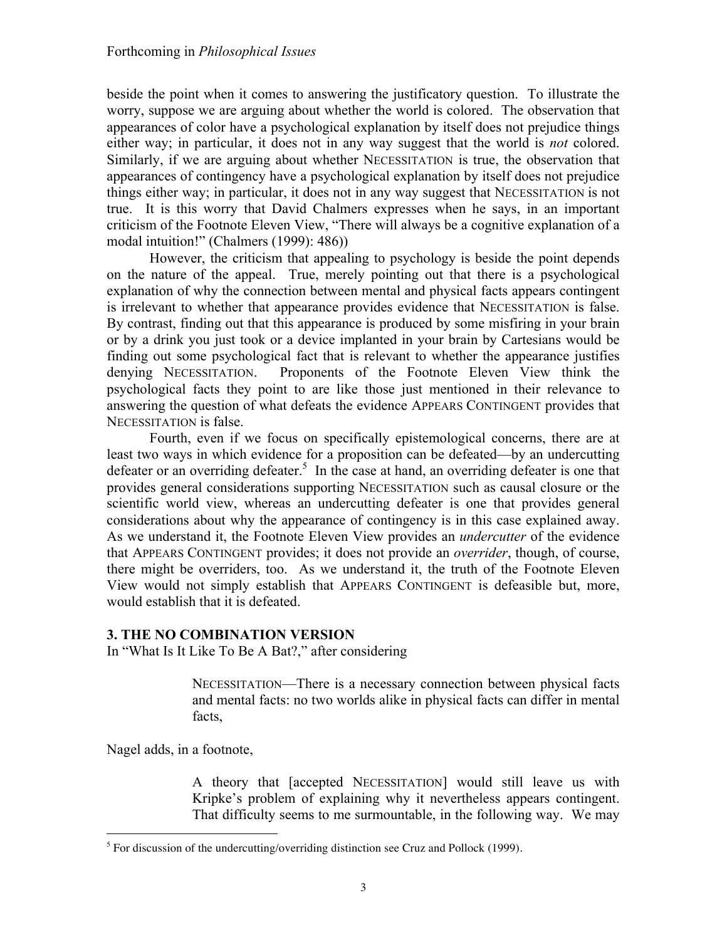beside the point when it comes to answering the justificatory question. To illustrate the worry, suppose we are arguing about whether the world is colored. The observation that appearances of color have a psychological explanation by itself does not prejudice things either way; in particular, it does not in any way suggest that the world is *not* colored. Similarly, if we are arguing about whether NECESSITATION is true, the observation that appearances of contingency have a psychological explanation by itself does not prejudice things either way; in particular, it does not in any way suggest that NECESSITATION is not true. It is this worry that David Chalmers expresses when he says, in an important criticism of the Footnote Eleven View, "There will always be a cognitive explanation of a modal intuition!" (Chalmers (1999): 486))

However, the criticism that appealing to psychology is beside the point depends on the nature of the appeal. True, merely pointing out that there is a psychological explanation of why the connection between mental and physical facts appears contingent is irrelevant to whether that appearance provides evidence that NECESSITATION is false. By contrast, finding out that this appearance is produced by some misfiring in your brain or by a drink you just took or a device implanted in your brain by Cartesians would be finding out some psychological fact that is relevant to whether the appearance justifies denying NECESSITATION. Proponents of the Footnote Eleven View think the psychological facts they point to are like those just mentioned in their relevance to answering the question of what defeats the evidence APPEARS CONTINGENT provides that NECESSITATION is false.

Fourth, even if we focus on specifically epistemological concerns, there are at least two ways in which evidence for a proposition can be defeated—by an undercutting defeater or an overriding defeater.<sup>5</sup> In the case at hand, an overriding defeater is one that provides general considerations supporting NECESSITATION such as causal closure or the scientific world view, whereas an undercutting defeater is one that provides general considerations about why the appearance of contingency is in this case explained away. As we understand it, the Footnote Eleven View provides an *undercutter* of the evidence that APPEARS CONTINGENT provides; it does not provide an *overrider*, though, of course, there might be overriders, too. As we understand it, the truth of the Footnote Eleven View would not simply establish that APPEARS CONTINGENT is defeasible but, more, would establish that it is defeated.

#### **3. THE NO COMBINATION VERSION**

In "What Is It Like To Be A Bat?," after considering

NECESSITATION—There is a necessary connection between physical facts and mental facts: no two worlds alike in physical facts can differ in mental facts,

Nagel adds, in a footnote,

A theory that [accepted NECESSITATION] would still leave us with Kripke's problem of explaining why it nevertheless appears contingent. That difficulty seems to me surmountable, in the following way. We may

 <sup>5</sup> <sup>5</sup> For discussion of the undercutting/overriding distinction see Cruz and Pollock (1999).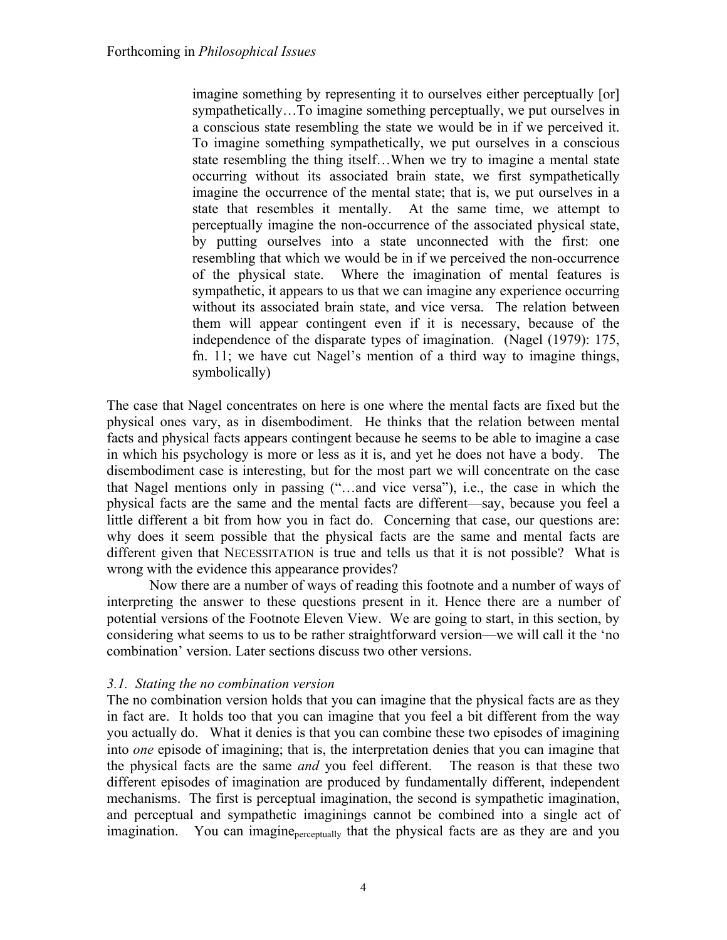imagine something by representing it to ourselves either perceptually [or] sympathetically…To imagine something perceptually, we put ourselves in a conscious state resembling the state we would be in if we perceived it. To imagine something sympathetically, we put ourselves in a conscious state resembling the thing itself…When we try to imagine a mental state occurring without its associated brain state, we first sympathetically imagine the occurrence of the mental state; that is, we put ourselves in a state that resembles it mentally. At the same time, we attempt to perceptually imagine the non-occurrence of the associated physical state, by putting ourselves into a state unconnected with the first: one resembling that which we would be in if we perceived the non-occurrence of the physical state. Where the imagination of mental features is sympathetic, it appears to us that we can imagine any experience occurring without its associated brain state, and vice versa. The relation between them will appear contingent even if it is necessary, because of the independence of the disparate types of imagination. (Nagel (1979): 175, fn. 11; we have cut Nagel's mention of a third way to imagine things, symbolically)

The case that Nagel concentrates on here is one where the mental facts are fixed but the physical ones vary, as in disembodiment. He thinks that the relation between mental facts and physical facts appears contingent because he seems to be able to imagine a case in which his psychology is more or less as it is, and yet he does not have a body. The disembodiment case is interesting, but for the most part we will concentrate on the case that Nagel mentions only in passing ("…and vice versa"), i.e., the case in which the physical facts are the same and the mental facts are different—say, because you feel a little different a bit from how you in fact do. Concerning that case, our questions are: why does it seem possible that the physical facts are the same and mental facts are different given that NECESSITATION is true and tells us that it is not possible? What is wrong with the evidence this appearance provides?

Now there are a number of ways of reading this footnote and a number of ways of interpreting the answer to these questions present in it. Hence there are a number of potential versions of the Footnote Eleven View. We are going to start, in this section, by considering what seems to us to be rather straightforward version—we will call it the 'no combination' version. Later sections discuss two other versions.

#### *3.1. Stating the no combination version*

The no combination version holds that you can imagine that the physical facts are as they in fact are. It holds too that you can imagine that you feel a bit different from the way you actually do. What it denies is that you can combine these two episodes of imagining into *one* episode of imagining; that is, the interpretation denies that you can imagine that the physical facts are the same *and* you feel different. The reason is that these two different episodes of imagination are produced by fundamentally different, independent mechanisms. The first is perceptual imagination, the second is sympathetic imagination, and perceptual and sympathetic imaginings cannot be combined into a single act of imagination. You can imagine<sub>perceptually</sub> that the physical facts are as they are and you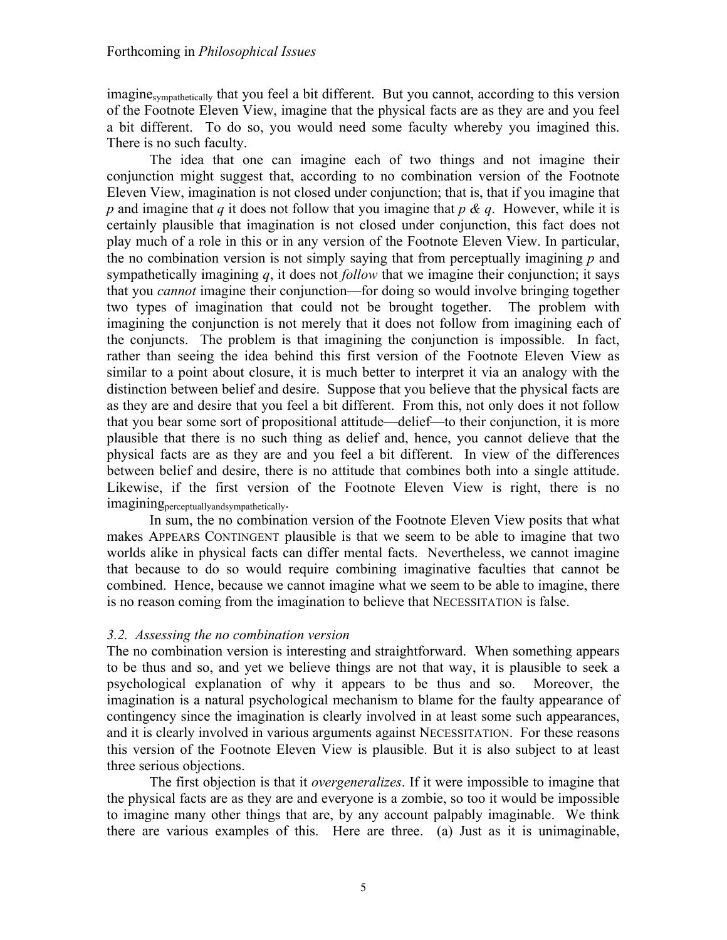imaginesympathetically that you feel a bit different. But you cannot, according to this version of the Footnote Eleven View, imagine that the physical facts are as they are and you feel a bit different. To do so, you would need some faculty whereby you imagined this. There is no such faculty.

The idea that one can imagine each of two things and not imagine their conjunction might suggest that, according to no combination version of the Footnote Eleven View, imagination is not closed under conjunction; that is, that if you imagine that *p* and imagine that *q* it does not follow that you imagine that *p & q*. However, while it is certainly plausible that imagination is not closed under conjunction, this fact does not play much of a role in this or in any version of the Footnote Eleven View. In particular, the no combination version is not simply saying that from perceptually imagining *p* and sympathetically imagining *q*, it does not *follow* that we imagine their conjunction; it says that you *cannot* imagine their conjunction—for doing so would involve bringing together two types of imagination that could not be brought together. The problem with imagining the conjunction is not merely that it does not follow from imagining each of the conjuncts. The problem is that imagining the conjunction is impossible. In fact, rather than seeing the idea behind this first version of the Footnote Eleven View as similar to a point about closure, it is much better to interpret it via an analogy with the distinction between belief and desire. Suppose that you believe that the physical facts are as they are and desire that you feel a bit different. From this, not only does it not follow that you bear some sort of propositional attitude—delief—to their conjunction, it is more plausible that there is no such thing as delief and, hence, you cannot delieve that the physical facts are as they are and you feel a bit different. In view of the differences between belief and desire, there is no attitude that combines both into a single attitude. Likewise, if the first version of the Footnote Eleven View is right, there is no imagining<sub>perceptuallyandsympathetically</sub>.

In sum, the no combination version of the Footnote Eleven View posits that what makes APPEARS CONTINGENT plausible is that we seem to be able to imagine that two worlds alike in physical facts can differ mental facts. Nevertheless, we cannot imagine that because to do so would require combining imaginative faculties that cannot be combined. Hence, because we cannot imagine what we seem to be able to imagine, there is no reason coming from the imagination to believe that NECESSITATION is false.

#### *3.2. Assessing the no combination version*

The no combination version is interesting and straightforward. When something appears to be thus and so, and yet we believe things are not that way, it is plausible to seek a psychological explanation of why it appears to be thus and so. Moreover, the imagination is a natural psychological mechanism to blame for the faulty appearance of contingency since the imagination is clearly involved in at least some such appearances, and it is clearly involved in various arguments against NECESSITATION. For these reasons this version of the Footnote Eleven View is plausible. But it is also subject to at least three serious objections.

The first objection is that it *overgeneralizes*. If it were impossible to imagine that the physical facts are as they are and everyone is a zombie, so too it would be impossible to imagine many other things that are, by any account palpably imaginable. We think there are various examples of this. Here are three. (a) Just as it is unimaginable,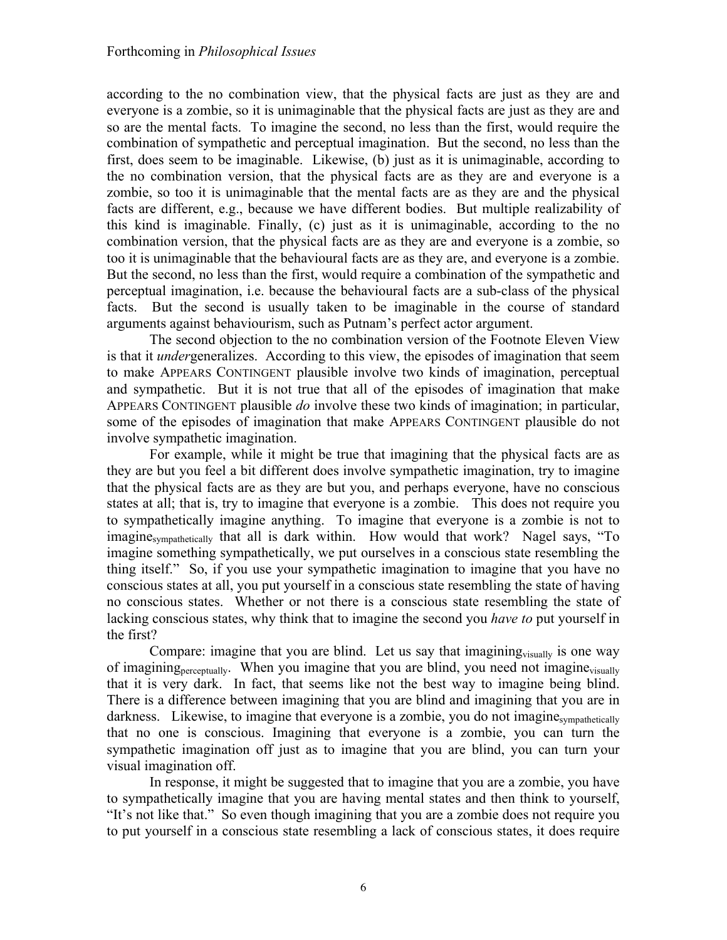according to the no combination view, that the physical facts are just as they are and everyone is a zombie, so it is unimaginable that the physical facts are just as they are and so are the mental facts. To imagine the second, no less than the first, would require the combination of sympathetic and perceptual imagination. But the second, no less than the first, does seem to be imaginable. Likewise, (b) just as it is unimaginable, according to the no combination version, that the physical facts are as they are and everyone is a zombie, so too it is unimaginable that the mental facts are as they are and the physical facts are different, e.g., because we have different bodies. But multiple realizability of this kind is imaginable. Finally, (c) just as it is unimaginable, according to the no combination version, that the physical facts are as they are and everyone is a zombie, so too it is unimaginable that the behavioural facts are as they are, and everyone is a zombie. But the second, no less than the first, would require a combination of the sympathetic and perceptual imagination, i.e. because the behavioural facts are a sub-class of the physical facts. But the second is usually taken to be imaginable in the course of standard arguments against behaviourism, such as Putnam's perfect actor argument.

The second objection to the no combination version of the Footnote Eleven View is that it *under*generalizes. According to this view, the episodes of imagination that seem to make APPEARS CONTINGENT plausible involve two kinds of imagination, perceptual and sympathetic. But it is not true that all of the episodes of imagination that make APPEARS CONTINGENT plausible *do* involve these two kinds of imagination; in particular, some of the episodes of imagination that make APPEARS CONTINGENT plausible do not involve sympathetic imagination.

For example, while it might be true that imagining that the physical facts are as they are but you feel a bit different does involve sympathetic imagination, try to imagine that the physical facts are as they are but you, and perhaps everyone, have no conscious states at all; that is, try to imagine that everyone is a zombie. This does not require you to sympathetically imagine anything. To imagine that everyone is a zombie is not to imaginesympathetically that all is dark within. How would that work? Nagel says, "To imagine something sympathetically, we put ourselves in a conscious state resembling the thing itself." So, if you use your sympathetic imagination to imagine that you have no conscious states at all, you put yourself in a conscious state resembling the state of having no conscious states. Whether or not there is a conscious state resembling the state of lacking conscious states, why think that to imagine the second you *have to* put yourself in the first?

Compare: imagine that you are blind. Let us say that imagining  $v_{\text{isually}}$  is one way of imagining<sub>perceptually</sub>. When you imagine that you are blind, you need not imagine<sub>visually</sub> that it is very dark. In fact, that seems like not the best way to imagine being blind. There is a difference between imagining that you are blind and imagining that you are in darkness. Likewise, to imagine that everyone is a zombie, you do not imagine<sub>sympathetically</sub> that no one is conscious. Imagining that everyone is a zombie, you can turn the sympathetic imagination off just as to imagine that you are blind, you can turn your visual imagination off.

In response, it might be suggested that to imagine that you are a zombie, you have to sympathetically imagine that you are having mental states and then think to yourself, "It's not like that." So even though imagining that you are a zombie does not require you to put yourself in a conscious state resembling a lack of conscious states, it does require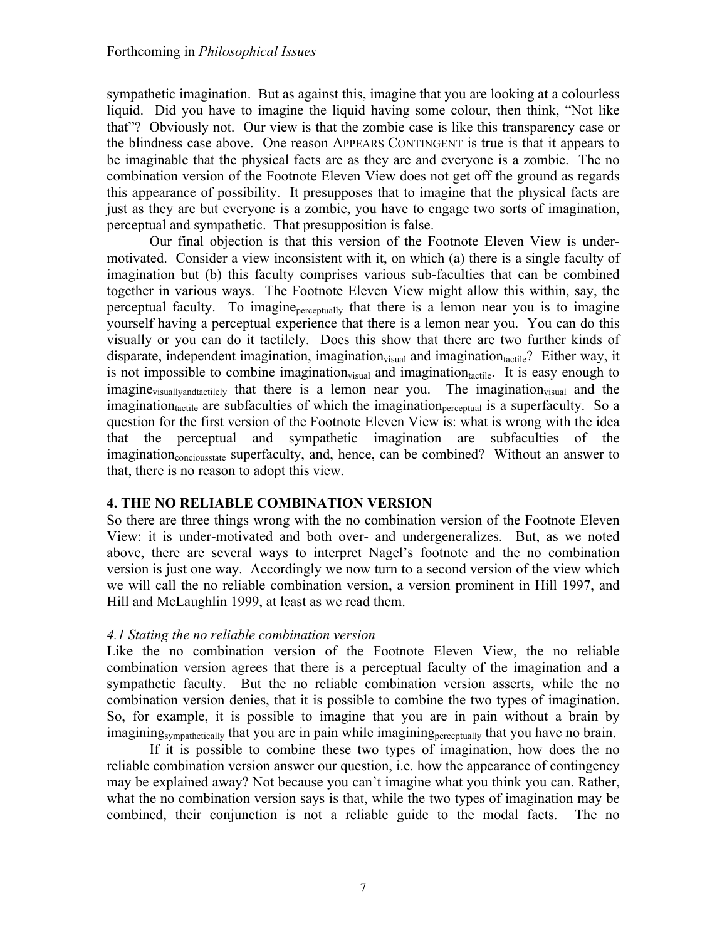sympathetic imagination. But as against this, imagine that you are looking at a colourless liquid. Did you have to imagine the liquid having some colour, then think, "Not like that"? Obviously not. Our view is that the zombie case is like this transparency case or the blindness case above. One reason APPEARS CONTINGENT is true is that it appears to be imaginable that the physical facts are as they are and everyone is a zombie. The no combination version of the Footnote Eleven View does not get off the ground as regards this appearance of possibility. It presupposes that to imagine that the physical facts are just as they are but everyone is a zombie, you have to engage two sorts of imagination, perceptual and sympathetic. That presupposition is false.

Our final objection is that this version of the Footnote Eleven View is undermotivated. Consider a view inconsistent with it, on which (a) there is a single faculty of imagination but (b) this faculty comprises various sub-faculties that can be combined together in various ways. The Footnote Eleven View might allow this within, say, the perceptual faculty. To imagine<sub>perceptually</sub> that there is a lemon near you is to imagine yourself having a perceptual experience that there is a lemon near you. You can do this visually or you can do it tactilely. Does this show that there are two further kinds of disparate, independent imagination, imagination<sub>visual</sub> and imagination<sub>tactile</sub>? Either way, it is not impossible to combine imagination<sub>visual</sub> and imagination<sub>tactile</sub>. It is easy enough to imagine<sub>visuallyandtactilely</sub> that there is a lemon near you. The imagination<sub>visual</sub> and the imagination<sub>tactile</sub> are subfaculties of which the imagination<sub>perceptual</sub> is a superfaculty. So a question for the first version of the Footnote Eleven View is: what is wrong with the idea that the perceptual and sympathetic imagination are subfaculties of the imagination<sub>conciousstate</sub> superfaculty, and, hence, can be combined? Without an answer to that, there is no reason to adopt this view.

# **4. THE NO RELIABLE COMBINATION VERSION**

So there are three things wrong with the no combination version of the Footnote Eleven View: it is under-motivated and both over- and undergeneralizes. But, as we noted above, there are several ways to interpret Nagel's footnote and the no combination version is just one way. Accordingly we now turn to a second version of the view which we will call the no reliable combination version, a version prominent in Hill 1997, and Hill and McLaughlin 1999, at least as we read them.

#### *4.1 Stating the no reliable combination version*

Like the no combination version of the Footnote Eleven View, the no reliable combination version agrees that there is a perceptual faculty of the imagination and a sympathetic faculty. But the no reliable combination version asserts, while the no combination version denies, that it is possible to combine the two types of imagination. So, for example, it is possible to imagine that you are in pain without a brain by imagining<sub>sympathetically</sub> that you are in pain while imagining<sub>perceptually</sub> that you have no brain.

If it is possible to combine these two types of imagination, how does the no reliable combination version answer our question, i.e. how the appearance of contingency may be explained away? Not because you can't imagine what you think you can. Rather, what the no combination version says is that, while the two types of imagination may be combined, their conjunction is not a reliable guide to the modal facts. The no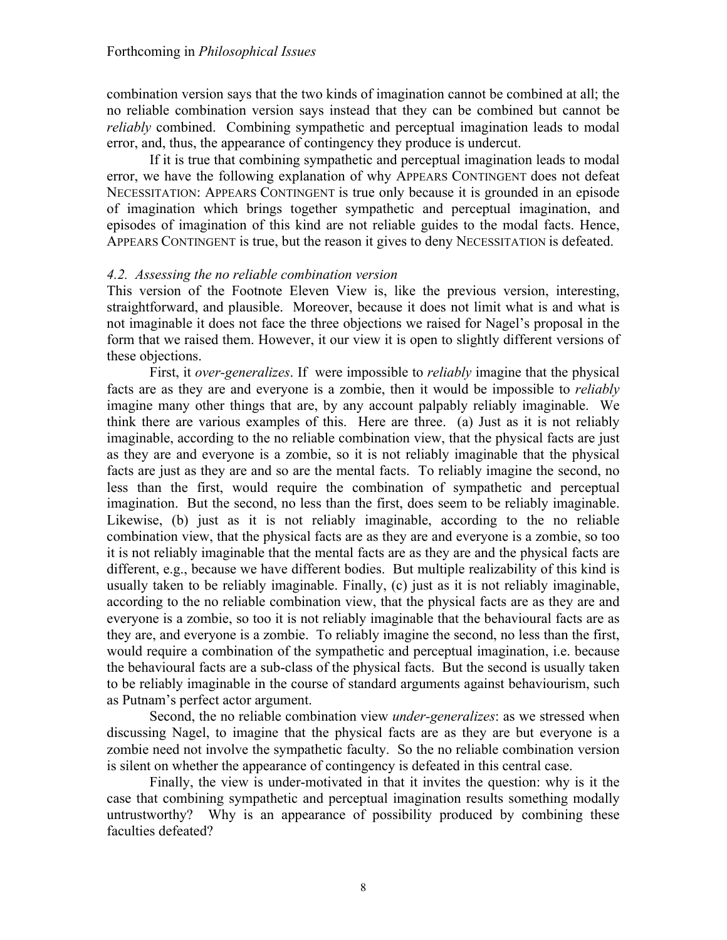combination version says that the two kinds of imagination cannot be combined at all; the no reliable combination version says instead that they can be combined but cannot be *reliably* combined. Combining sympathetic and perceptual imagination leads to modal error, and, thus, the appearance of contingency they produce is undercut.

If it is true that combining sympathetic and perceptual imagination leads to modal error, we have the following explanation of why APPEARS CONTINGENT does not defeat NECESSITATION: APPEARS CONTINGENT is true only because it is grounded in an episode of imagination which brings together sympathetic and perceptual imagination, and episodes of imagination of this kind are not reliable guides to the modal facts. Hence, APPEARS CONTINGENT is true, but the reason it gives to deny NECESSITATION is defeated.

#### *4.2. Assessing the no reliable combination version*

This version of the Footnote Eleven View is, like the previous version, interesting, straightforward, and plausible. Moreover, because it does not limit what is and what is not imaginable it does not face the three objections we raised for Nagel's proposal in the form that we raised them. However, it our view it is open to slightly different versions of these objections.

First, it *over-generalizes*. If were impossible to *reliably* imagine that the physical facts are as they are and everyone is a zombie, then it would be impossible to *reliably* imagine many other things that are, by any account palpably reliably imaginable. We think there are various examples of this. Here are three. (a) Just as it is not reliably imaginable, according to the no reliable combination view, that the physical facts are just as they are and everyone is a zombie, so it is not reliably imaginable that the physical facts are just as they are and so are the mental facts. To reliably imagine the second, no less than the first, would require the combination of sympathetic and perceptual imagination. But the second, no less than the first, does seem to be reliably imaginable. Likewise, (b) just as it is not reliably imaginable, according to the no reliable combination view, that the physical facts are as they are and everyone is a zombie, so too it is not reliably imaginable that the mental facts are as they are and the physical facts are different, e.g., because we have different bodies. But multiple realizability of this kind is usually taken to be reliably imaginable. Finally, (c) just as it is not reliably imaginable, according to the no reliable combination view, that the physical facts are as they are and everyone is a zombie, so too it is not reliably imaginable that the behavioural facts are as they are, and everyone is a zombie. To reliably imagine the second, no less than the first, would require a combination of the sympathetic and perceptual imagination, i.e. because the behavioural facts are a sub-class of the physical facts. But the second is usually taken to be reliably imaginable in the course of standard arguments against behaviourism, such as Putnam's perfect actor argument.

Second, the no reliable combination view *under-generalizes*: as we stressed when discussing Nagel, to imagine that the physical facts are as they are but everyone is a zombie need not involve the sympathetic faculty. So the no reliable combination version is silent on whether the appearance of contingency is defeated in this central case.

Finally, the view is under-motivated in that it invites the question: why is it the case that combining sympathetic and perceptual imagination results something modally untrustworthy? Why is an appearance of possibility produced by combining these faculties defeated?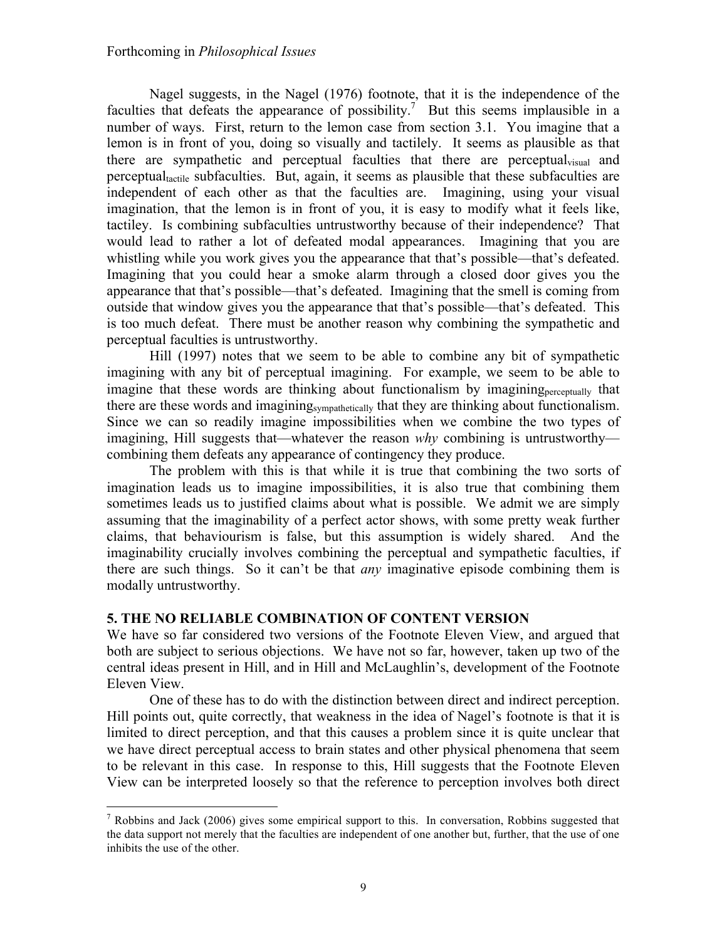Nagel suggests, in the Nagel (1976) footnote, that it is the independence of the faculties that defeats the appearance of possibility.<sup>7</sup> But this seems implausible in a number of ways. First, return to the lemon case from section 3.1. You imagine that a lemon is in front of you, doing so visually and tactilely. It seems as plausible as that there are sympathetic and perceptual faculties that there are perceptual $_{\text{visual}}$  and perceptual<sub>tactile</sub> subfaculties. But, again, it seems as plausible that these subfaculties are independent of each other as that the faculties are. Imagining, using your visual imagination, that the lemon is in front of you, it is easy to modify what it feels like, tactiley. Is combining subfaculties untrustworthy because of their independence? That would lead to rather a lot of defeated modal appearances. Imagining that you are whistling while you work gives you the appearance that that's possible—that's defeated. Imagining that you could hear a smoke alarm through a closed door gives you the appearance that that's possible—that's defeated. Imagining that the smell is coming from outside that window gives you the appearance that that's possible—that's defeated. This is too much defeat. There must be another reason why combining the sympathetic and perceptual faculties is untrustworthy.

Hill (1997) notes that we seem to be able to combine any bit of sympathetic imagining with any bit of perceptual imagining. For example, we seem to be able to imagine that these words are thinking about functionalism by imagining perceptually that there are these words and imaginingsympathetically that they are thinking about functionalism. Since we can so readily imagine impossibilities when we combine the two types of imagining, Hill suggests that—whatever the reason *why* combining is untrustworthy combining them defeats any appearance of contingency they produce.

The problem with this is that while it is true that combining the two sorts of imagination leads us to imagine impossibilities, it is also true that combining them sometimes leads us to justified claims about what is possible. We admit we are simply assuming that the imaginability of a perfect actor shows, with some pretty weak further claims, that behaviourism is false, but this assumption is widely shared. And the imaginability crucially involves combining the perceptual and sympathetic faculties, if there are such things. So it can't be that *any* imaginative episode combining them is modally untrustworthy.

# **5. THE NO RELIABLE COMBINATION OF CONTENT VERSION**

We have so far considered two versions of the Footnote Eleven View, and argued that both are subject to serious objections. We have not so far, however, taken up two of the central ideas present in Hill, and in Hill and McLaughlin's, development of the Footnote Eleven View.

One of these has to do with the distinction between direct and indirect perception. Hill points out, quite correctly, that weakness in the idea of Nagel's footnote is that it is limited to direct perception, and that this causes a problem since it is quite unclear that we have direct perceptual access to brain states and other physical phenomena that seem to be relevant in this case. In response to this, Hill suggests that the Footnote Eleven View can be interpreted loosely so that the reference to perception involves both direct

<sup>7</sup> Robbins and Jack (2006) gives some empirical support to this. In conversation, Robbins suggested that the data support not merely that the faculties are independent of one another but, further, that the use of one inhibits the use of the other.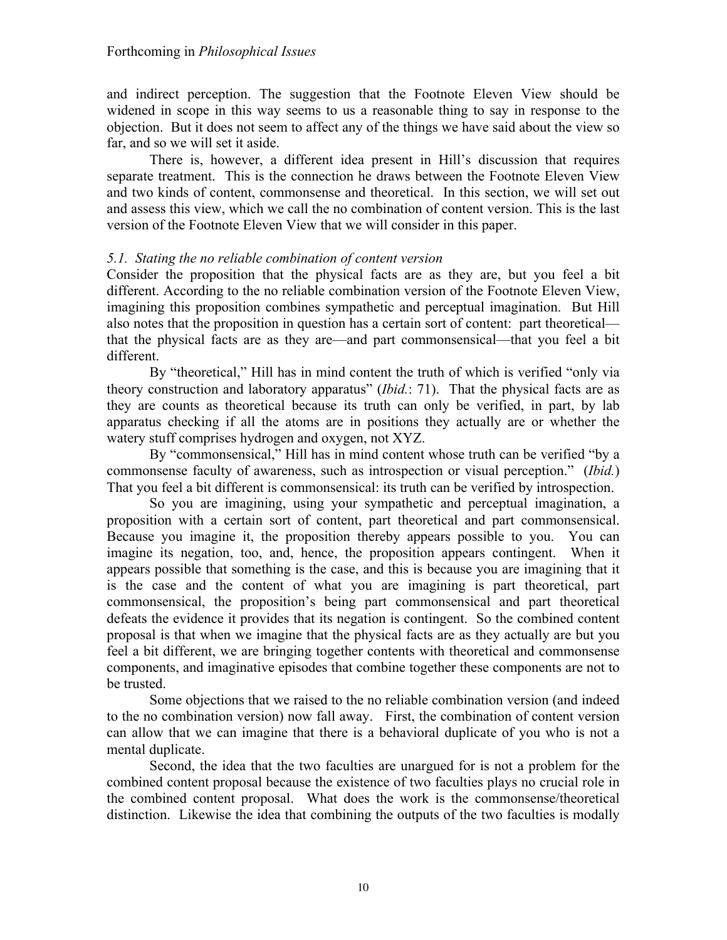and indirect perception. The suggestion that the Footnote Eleven View should be widened in scope in this way seems to us a reasonable thing to say in response to the objection. But it does not seem to affect any of the things we have said about the view so far, and so we will set it aside.

There is, however, a different idea present in Hill's discussion that requires separate treatment. This is the connection he draws between the Footnote Eleven View and two kinds of content, commonsense and theoretical. In this section, we will set out and assess this view, which we call the no combination of content version. This is the last version of the Footnote Eleven View that we will consider in this paper.

#### *5.1. Stating the no reliable combination of content version*

Consider the proposition that the physical facts are as they are, but you feel a bit different. According to the no reliable combination version of the Footnote Eleven View, imagining this proposition combines sympathetic and perceptual imagination. But Hill also notes that the proposition in question has a certain sort of content: part theoretical that the physical facts are as they are—and part commonsensical—that you feel a bit different.

By "theoretical," Hill has in mind content the truth of which is verified "only via theory construction and laboratory apparatus" (*Ibid.*: 71). That the physical facts are as they are counts as theoretical because its truth can only be verified, in part, by lab apparatus checking if all the atoms are in positions they actually are or whether the watery stuff comprises hydrogen and oxygen, not XYZ.

By "commonsensical," Hill has in mind content whose truth can be verified "by a commonsense faculty of awareness, such as introspection or visual perception." (*Ibid.*) That you feel a bit different is commonsensical: its truth can be verified by introspection.

So you are imagining, using your sympathetic and perceptual imagination, a proposition with a certain sort of content, part theoretical and part commonsensical. Because you imagine it, the proposition thereby appears possible to you. You can imagine its negation, too, and, hence, the proposition appears contingent. When it appears possible that something is the case, and this is because you are imagining that it is the case and the content of what you are imagining is part theoretical, part commonsensical, the proposition's being part commonsensical and part theoretical defeats the evidence it provides that its negation is contingent. So the combined content proposal is that when we imagine that the physical facts are as they actually are but you feel a bit different, we are bringing together contents with theoretical and commonsense components, and imaginative episodes that combine together these components are not to be trusted.

Some objections that we raised to the no reliable combination version (and indeed to the no combination version) now fall away. First, the combination of content version can allow that we can imagine that there is a behavioral duplicate of you who is not a mental duplicate.

Second, the idea that the two faculties are unargued for is not a problem for the combined content proposal because the existence of two faculties plays no crucial role in the combined content proposal. What does the work is the commonsense/theoretical distinction. Likewise the idea that combining the outputs of the two faculties is modally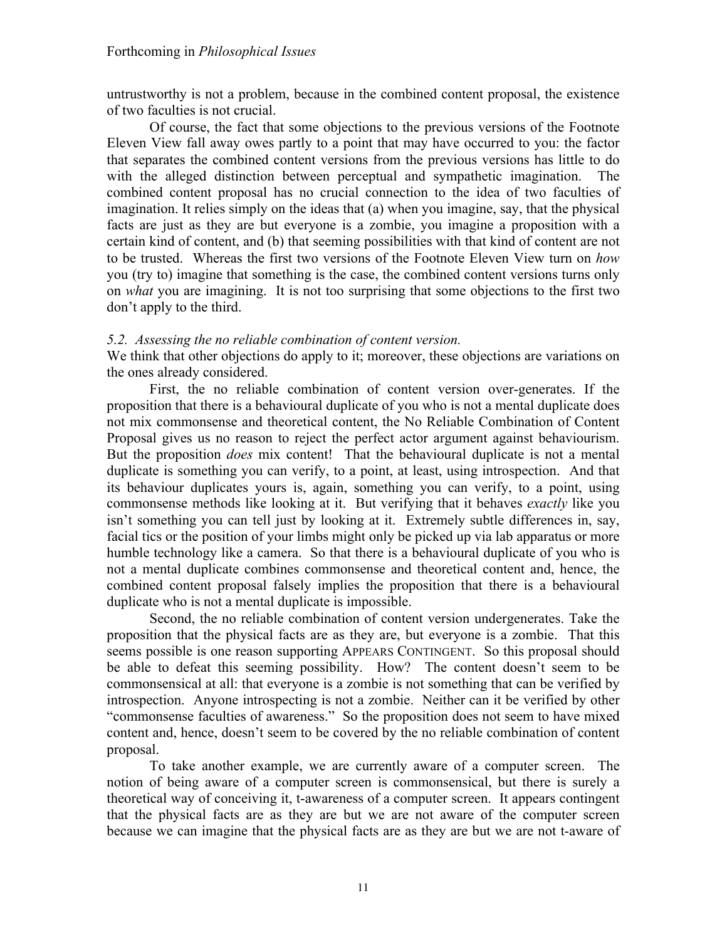untrustworthy is not a problem, because in the combined content proposal, the existence of two faculties is not crucial.

Of course, the fact that some objections to the previous versions of the Footnote Eleven View fall away owes partly to a point that may have occurred to you: the factor that separates the combined content versions from the previous versions has little to do with the alleged distinction between perceptual and sympathetic imagination. The combined content proposal has no crucial connection to the idea of two faculties of imagination. It relies simply on the ideas that (a) when you imagine, say, that the physical facts are just as they are but everyone is a zombie, you imagine a proposition with a certain kind of content, and (b) that seeming possibilities with that kind of content are not to be trusted. Whereas the first two versions of the Footnote Eleven View turn on *how* you (try to) imagine that something is the case, the combined content versions turns only on *what* you are imagining. It is not too surprising that some objections to the first two don't apply to the third.

#### *5.2. Assessing the no reliable combination of content version.*

We think that other objections do apply to it; moreover, these objections are variations on the ones already considered.

First, the no reliable combination of content version over-generates. If the proposition that there is a behavioural duplicate of you who is not a mental duplicate does not mix commonsense and theoretical content, the No Reliable Combination of Content Proposal gives us no reason to reject the perfect actor argument against behaviourism. But the proposition *does* mix content! That the behavioural duplicate is not a mental duplicate is something you can verify, to a point, at least, using introspection. And that its behaviour duplicates yours is, again, something you can verify, to a point, using commonsense methods like looking at it. But verifying that it behaves *exactly* like you isn't something you can tell just by looking at it. Extremely subtle differences in, say, facial tics or the position of your limbs might only be picked up via lab apparatus or more humble technology like a camera. So that there is a behavioural duplicate of you who is not a mental duplicate combines commonsense and theoretical content and, hence, the combined content proposal falsely implies the proposition that there is a behavioural duplicate who is not a mental duplicate is impossible.

Second, the no reliable combination of content version undergenerates. Take the proposition that the physical facts are as they are, but everyone is a zombie. That this seems possible is one reason supporting APPEARS CONTINGENT. So this proposal should be able to defeat this seeming possibility. How? The content doesn't seem to be commonsensical at all: that everyone is a zombie is not something that can be verified by introspection. Anyone introspecting is not a zombie. Neither can it be verified by other "commonsense faculties of awareness." So the proposition does not seem to have mixed content and, hence, doesn't seem to be covered by the no reliable combination of content proposal.

To take another example, we are currently aware of a computer screen. The notion of being aware of a computer screen is commonsensical, but there is surely a theoretical way of conceiving it, t-awareness of a computer screen. It appears contingent that the physical facts are as they are but we are not aware of the computer screen because we can imagine that the physical facts are as they are but we are not t-aware of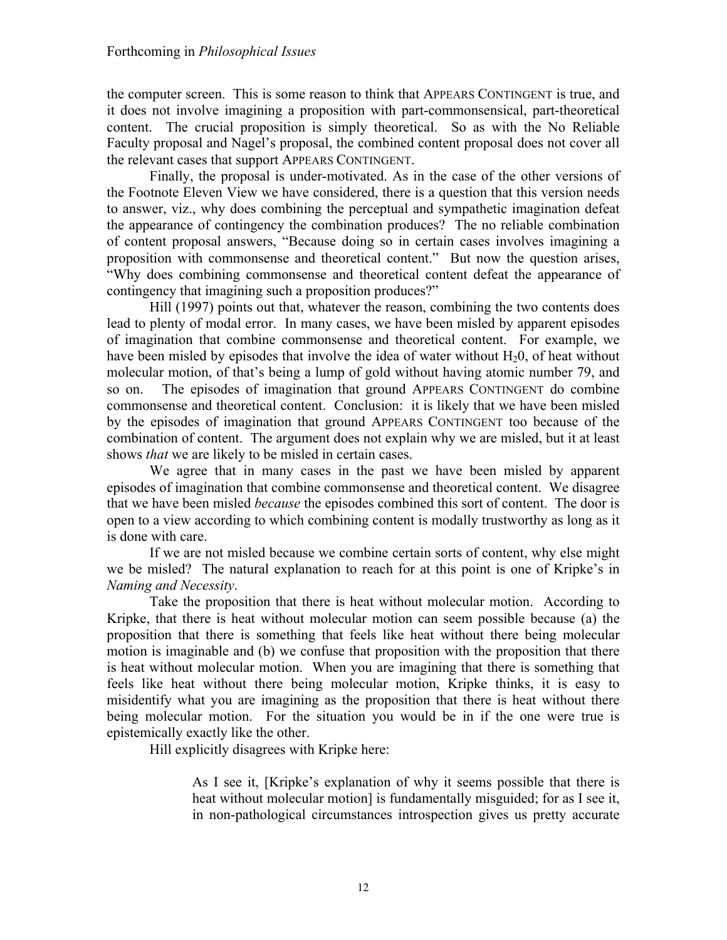the computer screen. This is some reason to think that APPEARS CONTINGENT is true, and it does not involve imagining a proposition with part-commonsensical, part-theoretical content. The crucial proposition is simply theoretical. So as with the No Reliable Faculty proposal and Nagel's proposal, the combined content proposal does not cover all the relevant cases that support APPEARS CONTINGENT.

Finally, the proposal is under-motivated. As in the case of the other versions of the Footnote Eleven View we have considered, there is a question that this version needs to answer, viz., why does combining the perceptual and sympathetic imagination defeat the appearance of contingency the combination produces? The no reliable combination of content proposal answers, "Because doing so in certain cases involves imagining a proposition with commonsense and theoretical content." But now the question arises, "Why does combining commonsense and theoretical content defeat the appearance of contingency that imagining such a proposition produces?"

Hill (1997) points out that, whatever the reason, combining the two contents does lead to plenty of modal error. In many cases, we have been misled by apparent episodes of imagination that combine commonsense and theoretical content. For example, we have been misled by episodes that involve the idea of water without  $H_20$ , of heat without molecular motion, of that's being a lump of gold without having atomic number 79, and so on. The episodes of imagination that ground APPEARS CONTINGENT do combine commonsense and theoretical content. Conclusion: it is likely that we have been misled by the episodes of imagination that ground APPEARS CONTINGENT too because of the combination of content. The argument does not explain why we are misled, but it at least shows *that* we are likely to be misled in certain cases.

We agree that in many cases in the past we have been misled by apparent episodes of imagination that combine commonsense and theoretical content. We disagree that we have been misled *because* the episodes combined this sort of content. The door is open to a view according to which combining content is modally trustworthy as long as it is done with care.

If we are not misled because we combine certain sorts of content, why else might we be misled? The natural explanation to reach for at this point is one of Kripke's in *Naming and Necessity*.

Take the proposition that there is heat without molecular motion. According to Kripke, that there is heat without molecular motion can seem possible because (a) the proposition that there is something that feels like heat without there being molecular motion is imaginable and (b) we confuse that proposition with the proposition that there is heat without molecular motion. When you are imagining that there is something that feels like heat without there being molecular motion, Kripke thinks, it is easy to misidentify what you are imagining as the proposition that there is heat without there being molecular motion. For the situation you would be in if the one were true is epistemically exactly like the other.

Hill explicitly disagrees with Kripke here:

As I see it, [Kripke's explanation of why it seems possible that there is heat without molecular motion] is fundamentally misguided; for as I see it, in non-pathological circumstances introspection gives us pretty accurate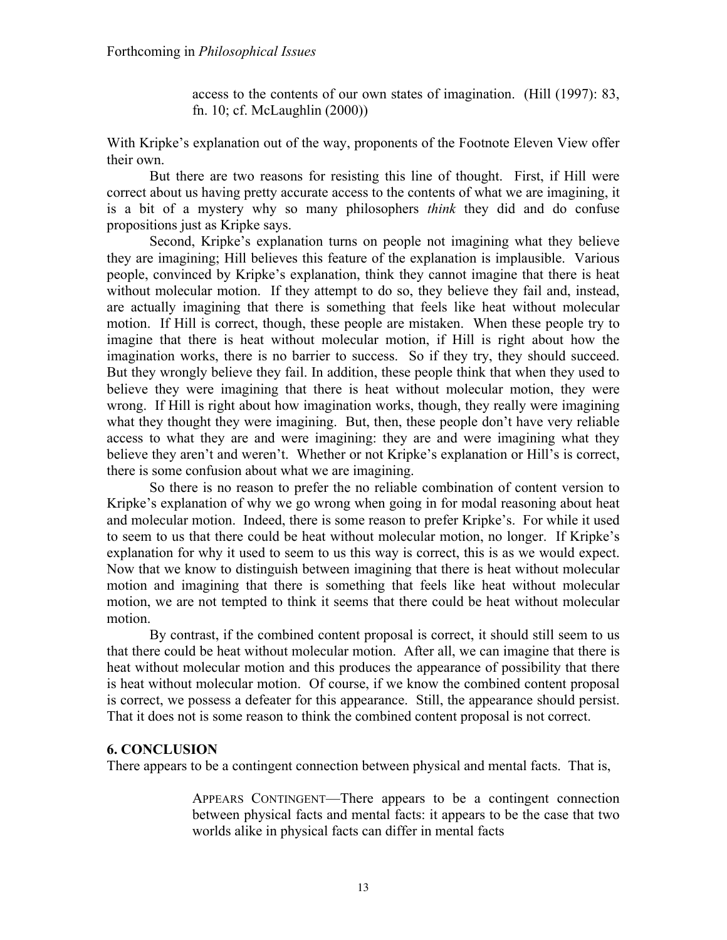access to the contents of our own states of imagination. (Hill (1997): 83, fn. 10; cf. McLaughlin (2000))

With Kripke's explanation out of the way, proponents of the Footnote Eleven View offer their own.

But there are two reasons for resisting this line of thought. First, if Hill were correct about us having pretty accurate access to the contents of what we are imagining, it is a bit of a mystery why so many philosophers *think* they did and do confuse propositions just as Kripke says.

Second, Kripke's explanation turns on people not imagining what they believe they are imagining; Hill believes this feature of the explanation is implausible. Various people, convinced by Kripke's explanation, think they cannot imagine that there is heat without molecular motion. If they attempt to do so, they believe they fail and, instead, are actually imagining that there is something that feels like heat without molecular motion. If Hill is correct, though, these people are mistaken. When these people try to imagine that there is heat without molecular motion, if Hill is right about how the imagination works, there is no barrier to success. So if they try, they should succeed. But they wrongly believe they fail. In addition, these people think that when they used to believe they were imagining that there is heat without molecular motion, they were wrong. If Hill is right about how imagination works, though, they really were imagining what they thought they were imagining. But, then, these people don't have very reliable access to what they are and were imagining: they are and were imagining what they believe they aren't and weren't. Whether or not Kripke's explanation or Hill's is correct, there is some confusion about what we are imagining.

So there is no reason to prefer the no reliable combination of content version to Kripke's explanation of why we go wrong when going in for modal reasoning about heat and molecular motion. Indeed, there is some reason to prefer Kripke's. For while it used to seem to us that there could be heat without molecular motion, no longer. If Kripke's explanation for why it used to seem to us this way is correct, this is as we would expect. Now that we know to distinguish between imagining that there is heat without molecular motion and imagining that there is something that feels like heat without molecular motion, we are not tempted to think it seems that there could be heat without molecular motion.

By contrast, if the combined content proposal is correct, it should still seem to us that there could be heat without molecular motion. After all, we can imagine that there is heat without molecular motion and this produces the appearance of possibility that there is heat without molecular motion. Of course, if we know the combined content proposal is correct, we possess a defeater for this appearance. Still, the appearance should persist. That it does not is some reason to think the combined content proposal is not correct.

#### **6. CONCLUSION**

There appears to be a contingent connection between physical and mental facts. That is,

APPEARS CONTINGENT—There appears to be a contingent connection between physical facts and mental facts: it appears to be the case that two worlds alike in physical facts can differ in mental facts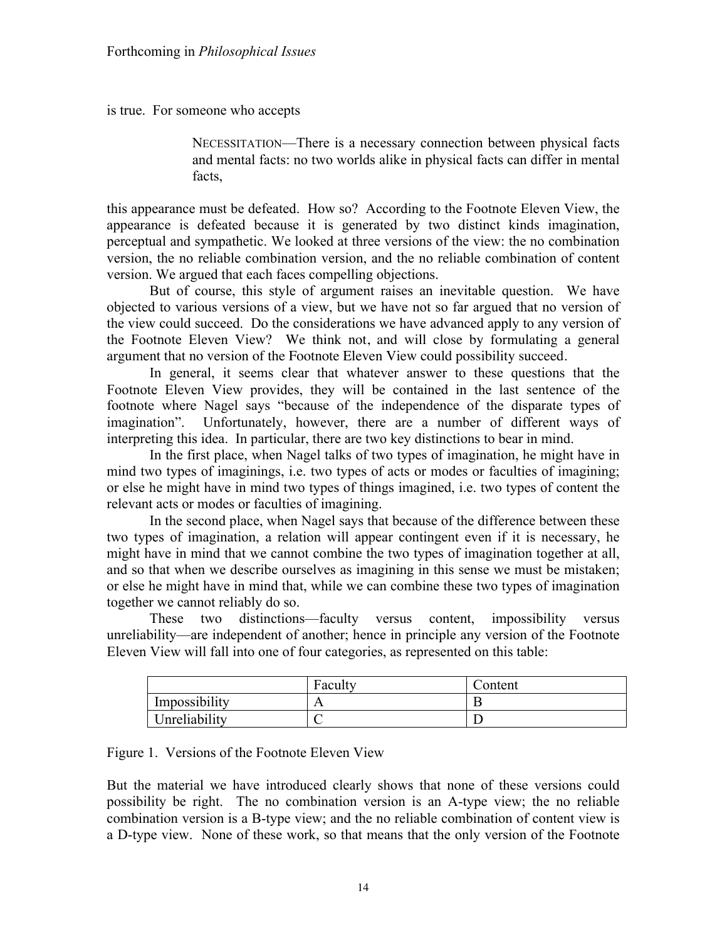is true. For someone who accepts

NECESSITATION—There is a necessary connection between physical facts and mental facts: no two worlds alike in physical facts can differ in mental facts,

this appearance must be defeated. How so? According to the Footnote Eleven View, the appearance is defeated because it is generated by two distinct kinds imagination, perceptual and sympathetic. We looked at three versions of the view: the no combination version, the no reliable combination version, and the no reliable combination of content version. We argued that each faces compelling objections.

But of course, this style of argument raises an inevitable question. We have objected to various versions of a view, but we have not so far argued that no version of the view could succeed. Do the considerations we have advanced apply to any version of the Footnote Eleven View? We think not, and will close by formulating a general argument that no version of the Footnote Eleven View could possibility succeed.

In general, it seems clear that whatever answer to these questions that the Footnote Eleven View provides, they will be contained in the last sentence of the footnote where Nagel says "because of the independence of the disparate types of imagination". Unfortunately, however, there are a number of different ways of interpreting this idea. In particular, there are two key distinctions to bear in mind.

In the first place, when Nagel talks of two types of imagination, he might have in mind two types of imaginings, i.e. two types of acts or modes or faculties of imagining; or else he might have in mind two types of things imagined, i.e. two types of content the relevant acts or modes or faculties of imagining.

In the second place, when Nagel says that because of the difference between these two types of imagination, a relation will appear contingent even if it is necessary, he might have in mind that we cannot combine the two types of imagination together at all, and so that when we describe ourselves as imagining in this sense we must be mistaken; or else he might have in mind that, while we can combine these two types of imagination together we cannot reliably do so.

These two distinctions—faculty versus content, impossibility versus unreliability—are independent of another; hence in principle any version of the Footnote Eleven View will fall into one of four categories, as represented on this table:

|               | Faculty | Content |
|---------------|---------|---------|
| Impossibility |         |         |
| Unreliability |         |         |

| Figure 1. Versions of the Footnote Eleven View |  |  |  |  |  |
|------------------------------------------------|--|--|--|--|--|
|------------------------------------------------|--|--|--|--|--|

But the material we have introduced clearly shows that none of these versions could possibility be right. The no combination version is an A-type view; the no reliable combination version is a B-type view; and the no reliable combination of content view is a D-type view. None of these work, so that means that the only version of the Footnote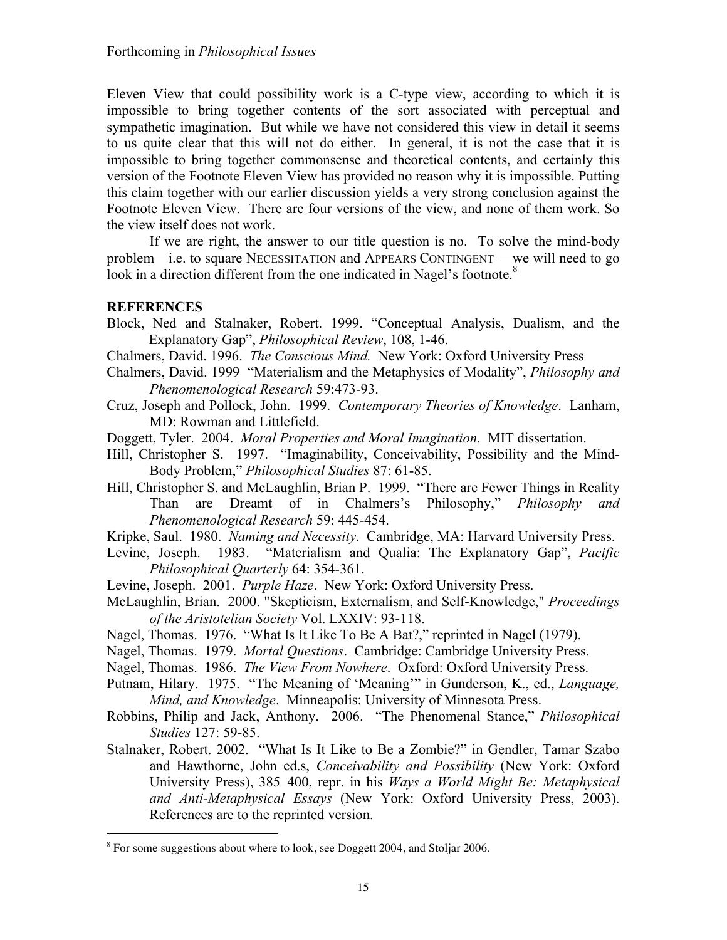Eleven View that could possibility work is a C-type view, according to which it is impossible to bring together contents of the sort associated with perceptual and sympathetic imagination. But while we have not considered this view in detail it seems to us quite clear that this will not do either. In general, it is not the case that it is impossible to bring together commonsense and theoretical contents, and certainly this version of the Footnote Eleven View has provided no reason why it is impossible. Putting this claim together with our earlier discussion yields a very strong conclusion against the Footnote Eleven View. There are four versions of the view, and none of them work. So the view itself does not work.

If we are right, the answer to our title question is no. To solve the mind-body problem—i.e. to square NECESSITATION and APPEARS CONTINGENT —we will need to go look in a direction different from the one indicated in Nagel's footnote.<sup>8</sup>

## **REFERENCES**

- Block, Ned and Stalnaker, Robert. 1999. "Conceptual Analysis, Dualism, and the Explanatory Gap", *Philosophical Review*, 108, 1-46.
- Chalmers, David. 1996. *The Conscious Mind.* New York: Oxford University Press
- Chalmers, David. 1999 "Materialism and the Metaphysics of Modality", *Philosophy and Phenomenological Research* 59:473-93.
- Cruz, Joseph and Pollock, John. 1999. *Contemporary Theories of Knowledge*. Lanham, MD: Rowman and Littlefield.
- Doggett, Tyler. 2004. *Moral Properties and Moral Imagination.* MIT dissertation.
- Hill, Christopher S. 1997. "Imaginability, Conceivability, Possibility and the Mind-Body Problem," *Philosophical Studies* 87: 61-85.
- Hill, Christopher S. and McLaughlin, Brian P. 1999. "There are Fewer Things in Reality Than are Dreamt of in Chalmers's Philosophy," *Philosophy and Phenomenological Research* 59: 445-454.
- Kripke, Saul. 1980. *Naming and Necessity*. Cambridge, MA: Harvard University Press.
- Levine, Joseph. 1983. "Materialism and Qualia: The Explanatory Gap", *Pacific Philosophical Quarterly* 64: 354-361.
- Levine, Joseph. 2001. *Purple Haze*. New York: Oxford University Press.
- McLaughlin, Brian. 2000. "Skepticism, Externalism, and Self-Knowledge," *Proceedings of the Aristotelian Society* Vol. LXXIV: 93-118.
- Nagel, Thomas. 1976. "What Is It Like To Be A Bat?," reprinted in Nagel (1979).
- Nagel, Thomas. 1979. *Mortal Questions*. Cambridge: Cambridge University Press.
- Nagel, Thomas. 1986. *The View From Nowhere*. Oxford: Oxford University Press.
- Putnam, Hilary. 1975. "The Meaning of 'Meaning'" in Gunderson, K., ed., *Language, Mind, and Knowledge*. Minneapolis: University of Minnesota Press.
- Robbins, Philip and Jack, Anthony. 2006. "The Phenomenal Stance," *Philosophical Studies* 127: 59-85.
- Stalnaker, Robert. 2002. "What Is It Like to Be a Zombie?" in Gendler, Tamar Szabo and Hawthorne, John ed.s, *Conceivability and Possibility* (New York: Oxford University Press), 385–400, repr. in his *Ways a World Might Be: Metaphysical and Anti-Metaphysical Essays* (New York: Oxford University Press, 2003). References are to the reprinted version.

 $\frac{1}{8}$ <sup>8</sup> For some suggestions about where to look, see Doggett 2004, and Stoljar 2006.